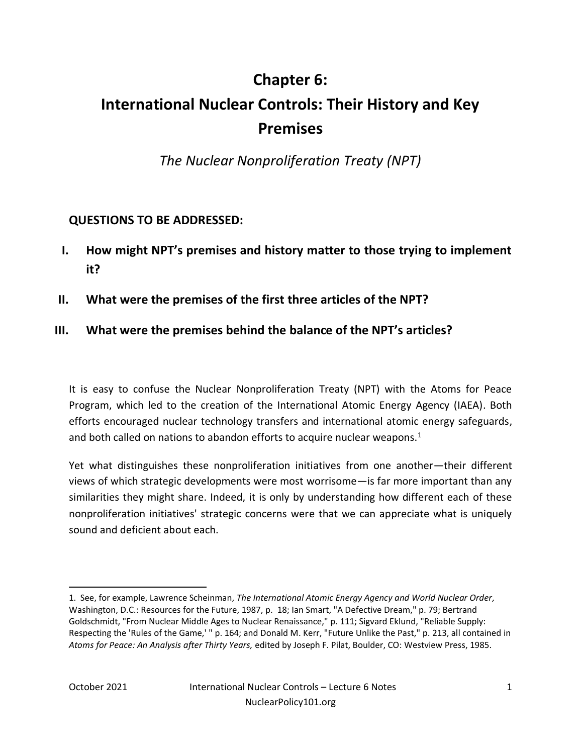# **Chapter 6: International Nuclear Controls: Their History and Key Premises**

*The Nuclear Nonproliferation Treaty (NPT)*

## **QUESTIONS TO BE ADDRESSED:**

- **I. How might NPT's premises and history matter to those trying to implement it?**
- **II. What were the premises of the first three articles of the NPT?**
- **III. What were the premises behind the balance of the NPT's articles?**

It is easy to confuse the Nuclear Nonproliferation Treaty (NPT) with the Atoms for Peace Program, which led to the creation of the International Atomic Energy Agency (IAEA). Both efforts encouraged nuclear technology transfers and international atomic energy safeguards, and both called on nations to abandon efforts to acquire nuclear weapons.<sup>1</sup>

Yet what distinguishes these nonproliferation initiatives from one another—their different views of which strategic developments were most worrisome—is far more important than any similarities they might share. Indeed, it is only by understanding how different each of these nonproliferation initiatives' strategic concerns were that we can appreciate what is uniquely sound and deficient about each.

<sup>1.</sup> See, for example, Lawrence Scheinman, *The International Atomic Energy Agency and World Nuclear Order,* Washington, D.C.: Resources for the Future, 1987, p. 18; Ian Smart, "A Defective Dream," p. 79; Bertrand Goldschmidt, "From Nuclear Middle Ages to Nuclear Renaissance," p. 111; Sigvard Eklund, "Reliable Supply: Respecting the 'Rules of the Game,' " p. 164; and Donald M. Kerr, "Future Unlike the Past," p. 213, all contained in *Atoms for Peace: An Analysis after Thirty Years,* edited by Joseph F. Pilat, Boulder, CO: Westview Press, 1985.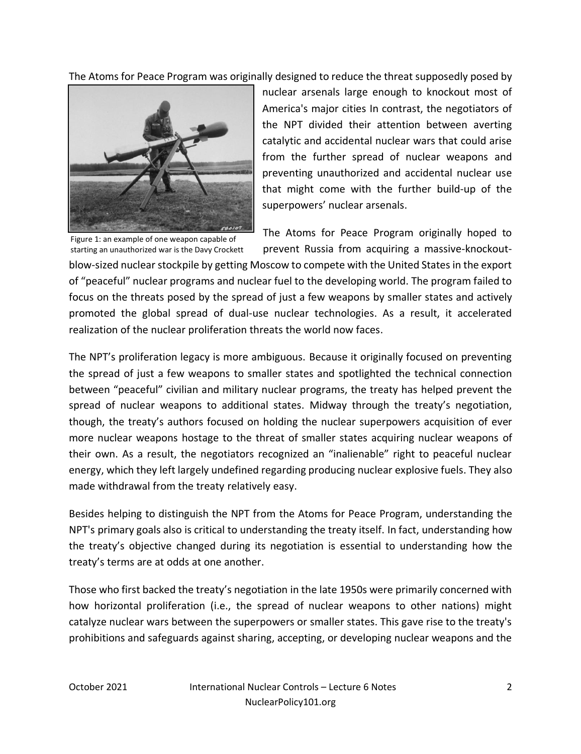The Atoms for Peace Program was originally designed to reduce the threat supposedly posed by



nuclear arsenals large enough to knockout most of America's major cities In contrast, the negotiators of the NPT divided their attention between averting catalytic and accidental nuclear wars that could arise from the further spread of nuclear weapons and preventing unauthorized and accidental nuclear use that might come with the further build-up of the superpowers' nuclear arsenals.

Figure 1: an example of one weapon capable of starting an unauthorized war is the Davy Crockett

The Atoms for Peace Program originally hoped to prevent Russia from acquiring a massive-knockout-

blow-sized nuclear stockpile by getting Moscow to compete with the United States in the export of "peaceful" nuclear programs and nuclear fuel to the developing world. The program failed to focus on the threats posed by the spread of just a few weapons by smaller states and actively promoted the global spread of dual-use nuclear technologies. As a result, it accelerated realization of the nuclear proliferation threats the world now faces.

The NPT's proliferation legacy is more ambiguous. Because it originally focused on preventing the spread of just a few weapons to smaller states and spotlighted the technical connection between "peaceful" civilian and military nuclear programs, the treaty has helped prevent the spread of nuclear weapons to additional states. Midway through the treaty's negotiation, though, the treaty's authors focused on holding the nuclear superpowers acquisition of ever more nuclear weapons hostage to the threat of smaller states acquiring nuclear weapons of their own. As a result, the negotiators recognized an "inalienable" right to peaceful nuclear energy, which they left largely undefined regarding producing nuclear explosive fuels. They also made withdrawal from the treaty relatively easy.

Besides helping to distinguish the NPT from the Atoms for Peace Program, understanding the NPT's primary goals also is critical to understanding the treaty itself. In fact, understanding how the treaty's objective changed during its negotiation is essential to understanding how the treaty's terms are at odds at one another.

Those who first backed the treaty's negotiation in the late 1950s were primarily concerned with how horizontal proliferation (i.e., the spread of nuclear weapons to other nations) might catalyze nuclear wars between the superpowers or smaller states. This gave rise to the treaty's prohibitions and safeguards against sharing, accepting, or developing nuclear weapons and the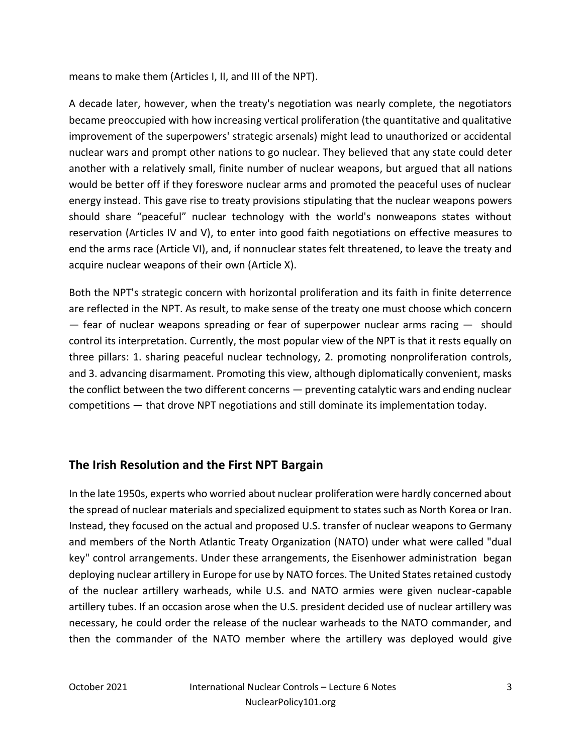means to make them (Articles I, II, and III of the NPT).

A decade later, however, when the treaty's negotiation was nearly complete, the negotiators became preoccupied with how increasing vertical proliferation (the quantitative and qualitative improvement of the superpowers' strategic arsenals) might lead to unauthorized or accidental nuclear wars and prompt other nations to go nuclear. They believed that any state could deter another with a relatively small, finite number of nuclear weapons, but argued that all nations would be better off if they foreswore nuclear arms and promoted the peaceful uses of nuclear energy instead. This gave rise to treaty provisions stipulating that the nuclear weapons powers should share "peaceful" nuclear technology with the world's nonweapons states without reservation (Articles IV and V), to enter into good faith negotiations on effective measures to end the arms race (Article VI), and, if nonnuclear states felt threatened, to leave the treaty and acquire nuclear weapons of their own (Article X).

Both the NPT's strategic concern with horizontal proliferation and its faith in finite deterrence are reflected in the NPT. As result, to make sense of the treaty one must choose which concern — fear of nuclear weapons spreading or fear of superpower nuclear arms racing — should control its interpretation. Currently, the most popular view of the NPT is that it rests equally on three pillars: 1. sharing peaceful nuclear technology, 2. promoting nonproliferation controls, and 3. advancing disarmament. Promoting this view, although diplomatically convenient, masks the conflict between the two different concerns — preventing catalytic wars and ending nuclear competitions — that drove NPT negotiations and still dominate its implementation today.

# **The Irish Resolution and the First NPT Bargain**

In the late 1950s, experts who worried about nuclear proliferation were hardly concerned about the spread of nuclear materials and specialized equipment to states such as North Korea or Iran. Instead, they focused on the actual and proposed U.S. transfer of nuclear weapons to Germany and members of the North Atlantic Treaty Organization (NATO) under what were called "dual key" control arrangements. Under these arrangements, the Eisenhower administration began deploying nuclear artillery in Europe for use by NATO forces. The United States retained custody of the nuclear artillery warheads, while U.S. and NATO armies were given nuclear-capable artillery tubes. If an occasion arose when the U.S. president decided use of nuclear artillery was necessary, he could order the release of the nuclear warheads to the NATO commander, and then the commander of the NATO member where the artillery was deployed would give

October 2021 International Nuclear Controls – Lecture 6 Notes 3 NuclearPolicy101.org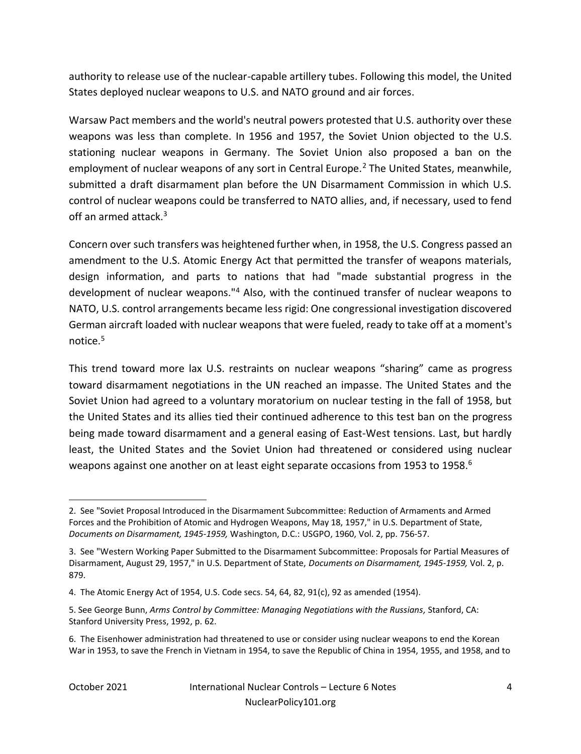authority to release use of the nuclear-capable artillery tubes. Following this model, the United States deployed nuclear weapons to U.S. and NATO ground and air forces.

Warsaw Pact members and the world's neutral powers protested that U.S. authority over these weapons was less than complete. In 1956 and 1957, the Soviet Union objected to the U.S. stationing nuclear weapons in Germany. The Soviet Union also proposed a ban on the employment of nuclear weapons of any sort in Central Europe.<sup>2</sup> The United States, meanwhile, submitted a draft disarmament plan before the UN Disarmament Commission in which U.S. control of nuclear weapons could be transferred to NATO allies, and, if necessary, used to fend off an armed attack.<sup>3</sup>

Concern over such transfers was heightened further when, in 1958, the U.S. Congress passed an amendment to the U.S. Atomic Energy Act that permitted the transfer of weapons materials, design information, and parts to nations that had "made substantial progress in the development of nuclear weapons."<sup>4</sup> Also, with the continued transfer of nuclear weapons to NATO, U.S. control arrangements became less rigid: One congressional investigation discovered German aircraft loaded with nuclear weapons that were fueled, ready to take off at a moment's notice.<sup>5</sup>

This trend toward more lax U.S. restraints on nuclear weapons "sharing" came as progress toward disarmament negotiations in the UN reached an impasse. The United States and the Soviet Union had agreed to a voluntary moratorium on nuclear testing in the fall of 1958, but the United States and its allies tied their continued adherence to this test ban on the progress being made toward disarmament and a general easing of East-West tensions. Last, but hardly least, the United States and the Soviet Union had threatened or considered using nuclear weapons against one another on at least eight separate occasions from 1953 to 1958.<sup>6</sup>

<sup>2.</sup> See "Soviet Proposal Introduced in the Disarmament Subcommittee: Reduction of Armaments and Armed Forces and the Prohibition of Atomic and Hydrogen Weapons, May 18, 1957," in U.S. Department of State, *Documents on Disarmament, 1945-1959,* Washington, D.C.: USGPO, 1960, Vol. 2, pp. 756-57.

<sup>3.</sup> See "Western Working Paper Submitted to the Disarmament Subcommittee: Proposals for Partial Measures of Disarmament, August 29, 1957," in U.S. Department of State, *Documents on Disarmament, 1945-1959,* Vol. 2, p. 879.

<sup>4.</sup> The Atomic Energy Act of 1954, U.S. Code secs. 54, 64, 82, 91(c), 92 as amended (1954).

<sup>5.</sup> See George Bunn, *Arms Control by Committee: Managing Negotiations with the Russians,* Stanford, CA: Stanford University Press, 1992, p. 62.

<sup>6.</sup> The Eisenhower administration had threatened to use or consider using nuclear weapons to end the Korean War in 1953, to save the French in Vietnam in 1954, to save the Republic of China in 1954, 1955, and 1958, and to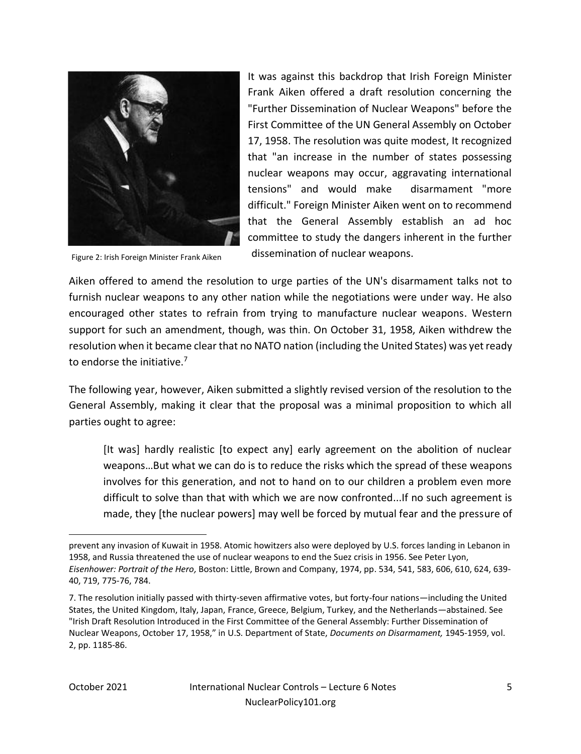

Figure 2: Irish Foreign Minister Frank Aiken

It was against this backdrop that Irish Foreign Minister Frank Aiken offered a draft resolution concerning the "Further Dissemination of Nuclear Weapons" before the First Committee of the UN General Assembly on October 17, 1958. The resolution was quite modest, It recognized that "an increase in the number of states possessing nuclear weapons may occur, aggravating international tensions" and would make disarmament "more difficult." Foreign Minister Aiken went on to recommend that the General Assembly establish an ad hoc committee to study the dangers inherent in the further dissemination of nuclear weapons.

Aiken offered to amend the resolution to urge parties of the UN's disarmament talks not to furnish nuclear weapons to any other nation while the negotiations were under way. He also encouraged other states to refrain from trying to manufacture nuclear weapons. Western support for such an amendment, though, was thin. On October 31, 1958, Aiken withdrew the resolution when it became clear that no NATO nation (including the United States) was yet ready to endorse the initiative.<sup>7</sup>

The following year, however, Aiken submitted a slightly revised version of the resolution to the General Assembly, making it clear that the proposal was a minimal proposition to which all parties ought to agree:

[It was] hardly realistic [to expect any] early agreement on the abolition of nuclear weapons…But what we can do is to reduce the risks which the spread of these weapons involves for this generation, and not to hand on to our children a problem even more difficult to solve than that with which we are now confronted...If no such agreement is made, they [the nuclear powers] may well be forced by mutual fear and the pressure of

prevent any invasion of Kuwait in 1958. Atomic howitzers also were deployed by U.S. forces landing in Lebanon in 1958, and Russia threatened the use of nuclear weapons to end the Suez crisis in 1956. See Peter Lyon, *Eisenhower: Portrait of the Hero,* Boston: Little, Brown and Company, 1974, pp. 534, 541, 583, 606, 610, 624, 639- 40, 719, 775-76, 784.

<sup>7.</sup> The resolution initially passed with thirty-seven affirmative votes, but forty-four nations—including the United States, the United Kingdom, Italy, Japan, France, Greece, Belgium, Turkey, and the Netherlands—abstained. See "Irish Draft Resolution Introduced in the First Committee of the General Assembly: Further Dissemination of Nuclear Weapons, October 17, 1958," in U.S. Department of State, *Documents on Disarmament,* 1945-1959, vol. 2, pp. 1185-86.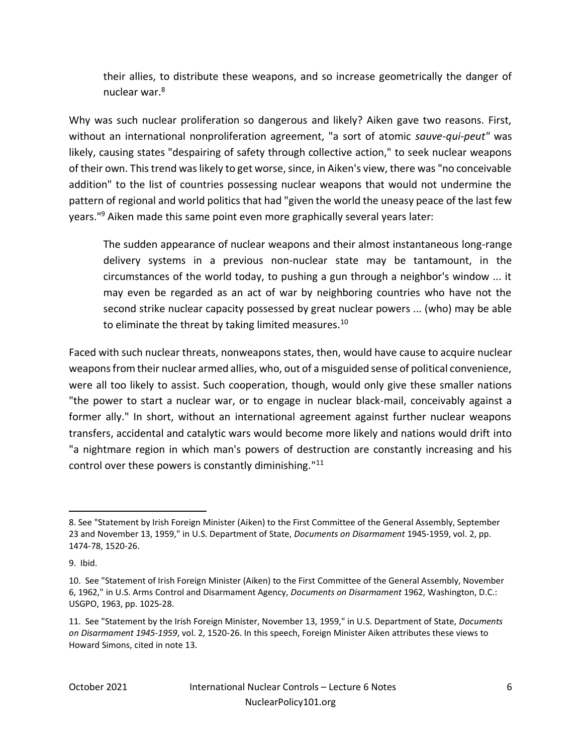their allies, to distribute these weapons, and so increase geometrically the danger of nuclear war.<sup>8</sup>

Why was such nuclear proliferation so dangerous and likely? Aiken gave two reasons. First, without an international nonproliferation agreement, "a sort of atomic *sauve-qui-peut"* was likely, causing states "despairing of safety through collective action," to seek nuclear weapons of their own. This trend was likely to get worse, since, in Aiken's view, there was "no conceivable addition" to the list of countries possessing nuclear weapons that would not undermine the pattern of regional and world politics that had "given the world the uneasy peace of the last few years."<sup>9</sup> Aiken made this same point even more graphically several years later:

The sudden appearance of nuclear weapons and their almost instantaneous long-range delivery systems in a previous non-nuclear state may be tantamount, in the circumstances of the world today, to pushing a gun through a neighbor's window ... it may even be regarded as an act of war by neighboring countries who have not the second strike nuclear capacity possessed by great nuclear powers ... (who) may be able to eliminate the threat by taking limited measures.<sup>10</sup>

Faced with such nuclear threats, nonweapons states, then, would have cause to acquire nuclear weapons from their nuclear armed allies, who, out of a misguided sense of political convenience, were all too likely to assist. Such cooperation, though, would only give these smaller nations "the power to start a nuclear war, or to engage in nuclear black-mail, conceivably against a former ally." In short, without an international agreement against further nuclear weapons transfers, accidental and catalytic wars would become more likely and nations would drift into "a nightmare region in which man's powers of destruction are constantly increasing and his control over these powers is constantly diminishing."<sup>11</sup>

<sup>8.</sup> See "Statement by Irish Foreign Minister (Aiken) to the First Committee of the General Assembly, September 23 and November 13, 1959," in U.S. Department of State, *Documents on Disarmament* 1945-1959, vol. 2, pp. 1474-78, 1520-26.

<sup>9.</sup> Ibid.

<sup>10.</sup> See "Statement of Irish Foreign Minister (Aiken) to the First Committee of the General Assembly, November 6, 1962," in U.S. Arms Control and Disarmament Agency, *Documents on Disarmament* 1962, Washington, D.C.: USGPO, 1963, pp. 1025-28.

<sup>11.</sup> See "Statement by the Irish Foreign Minister, November 13, 1959," in U.S. Department of State, *Documents on Disarmament 1945-1959*, vol. 2, 1520-26. In this speech, Foreign Minister Aiken attributes these views to Howard Simons, cited in note 13.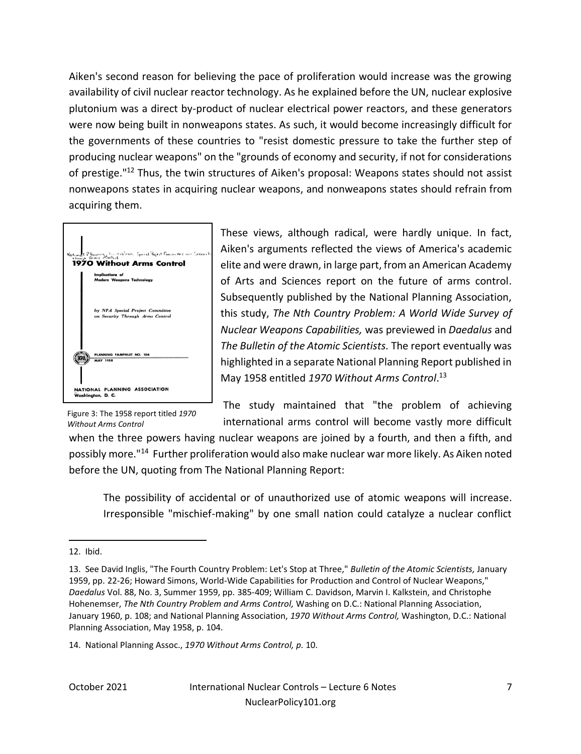Aiken's second reason for believing the pace of proliferation would increase was the growing availability of civil nuclear reactor technology. As he explained before the UN, nuclear explosive plutonium was a direct by-product of nuclear electrical power reactors, and these generators were now being built in nonweapons states. As such, it would become increasingly difficult for the governments of these countries to "resist domestic pressure to take the further step of producing nuclear weapons" on the "grounds of economy and security, if not for considerations of prestige."<sup>12</sup> Thus, the twin structures of Aiken's proposal: Weapons states should not assist nonweapons states in acquiring nuclear weapons, and nonweapons states should refrain from acquiring them.



These views, although radical, were hardly unique. In fact, Aiken's arguments reflected the views of America's academic elite and were drawn, in large part, from an American Academy of Arts and Sciences report on the future of arms control. Subsequently published by the National Planning Association, this study, *The Nth Country Problem: A World Wide Survey of Nuclear Weapons Capabilities,* was previewed in *Daedalus* and *The Bulletin of the Atomic Scientists.* The report eventually was highlighted in a separate National Planning Report published in May 1958 entitled *1970 Without Arms Control*. 13

Figure 3: The 1958 report titled *1970 Without Arms Control*

The study maintained that "the problem of achieving international arms control will become vastly more difficult

when the three powers having nuclear weapons are joined by a fourth, and then a fifth, and possibly more."<sup>14</sup> Further proliferation would also make nuclear war more likely. As Aiken noted before the UN, quoting from The National Planning Report:

The possibility of accidental or of unauthorized use of atomic weapons will increase. Irresponsible "mischief-making" by one small nation could catalyze a nuclear conflict

<sup>12.</sup> Ibid.

<sup>13.</sup> See David Inglis, "The Fourth Country Problem: Let's Stop at Three," *Bulletin of the Atomic Scientists,* January 1959, pp. 22-26; Howard Simons, World-Wide Capabilities for Production and Control of Nuclear Weapons," *Daedalus* Vol. 88, No. 3, Summer 1959, pp. 385-409; William C. Davidson, Marvin I. Kalkstein, and Christophe Hohenemser, *The Nth Country Problem and Arms Control,* Washing on D.C.: National Planning Association, January 1960, p. 108; and National Planning Association, *1970 Without Arms Control,* Washington, D.C.: National Planning Association, May 1958, p. 104.

<sup>14.</sup> National Planning Assoc., *1970 Without Arms Control, p.* 10.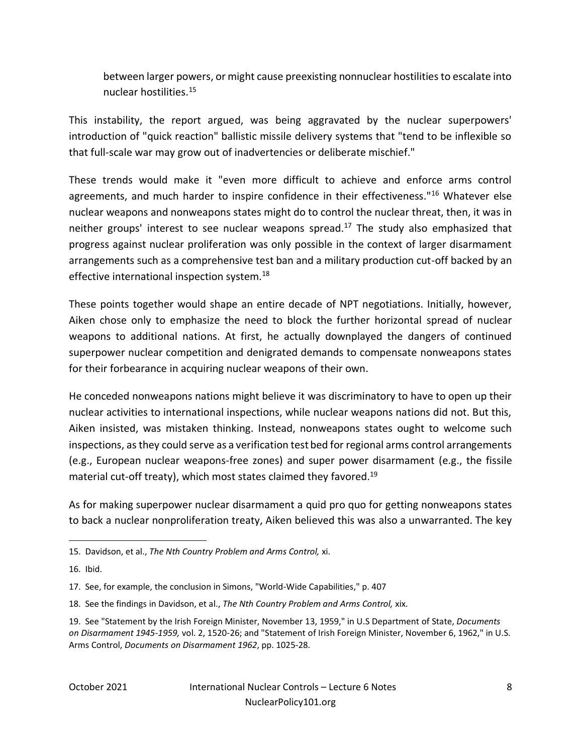between larger powers, or might cause preexisting nonnuclear hostilities to escalate into nuclear hostilities.<sup>15</sup>

This instability, the report argued, was being aggravated by the nuclear superpowers' introduction of "quick reaction" ballistic missile delivery systems that "tend to be inflexible so that full-scale war may grow out of inadvertencies or deliberate mischief."

These trends would make it "even more difficult to achieve and enforce arms control agreements, and much harder to inspire confidence in their effectiveness."<sup>16</sup> Whatever else nuclear weapons and nonweapons states might do to control the nuclear threat, then, it was in neither groups' interest to see nuclear weapons spread.<sup>17</sup> The study also emphasized that progress against nuclear proliferation was only possible in the context of larger disarmament arrangements such as a comprehensive test ban and a military production cut-off backed by an effective international inspection system.<sup>18</sup>

These points together would shape an entire decade of NPT negotiations. Initially, however, Aiken chose only to emphasize the need to block the further horizontal spread of nuclear weapons to additional nations. At first, he actually downplayed the dangers of continued superpower nuclear competition and denigrated demands to compensate nonweapons states for their forbearance in acquiring nuclear weapons of their own.

He conceded nonweapons nations might believe it was discriminatory to have to open up their nuclear activities to international inspections, while nuclear weapons nations did not. But this, Aiken insisted, was mistaken thinking. Instead, nonweapons states ought to welcome such inspections, asthey could serve as a verification test bed for regional arms control arrangements (e.g., European nuclear weapons-free zones) and super power disarmament (e.g., the fissile material cut-off treaty), which most states claimed they favored.<sup>19</sup>

As for making superpower nuclear disarmament a quid pro quo for getting nonweapons states to back a nuclear nonproliferation treaty, Aiken believed this was also a unwarranted. The key

<sup>15.</sup> Davidson, et al., *The Nth Country Problem and Arms Control,* xi.

<sup>16.</sup> Ibid.

<sup>17.</sup> See, for example, the conclusion in Simons, "World-Wide Capabilities," p. 407

<sup>18.</sup> See the findings in Davidson, et al., *The Nth Country Problem and Arms Control,* xix.

<sup>19.</sup> See "Statement by the Irish Foreign Minister, November 13, 1959," in U.S Department of State, *Documents on Disarmament 1945-1959,* vol. 2, 1520-26; and "Statement of Irish Foreign Minister, November 6, 1962," in U.S. Arms Control, *Documents on Disarmament 1962*, pp. 1025-28.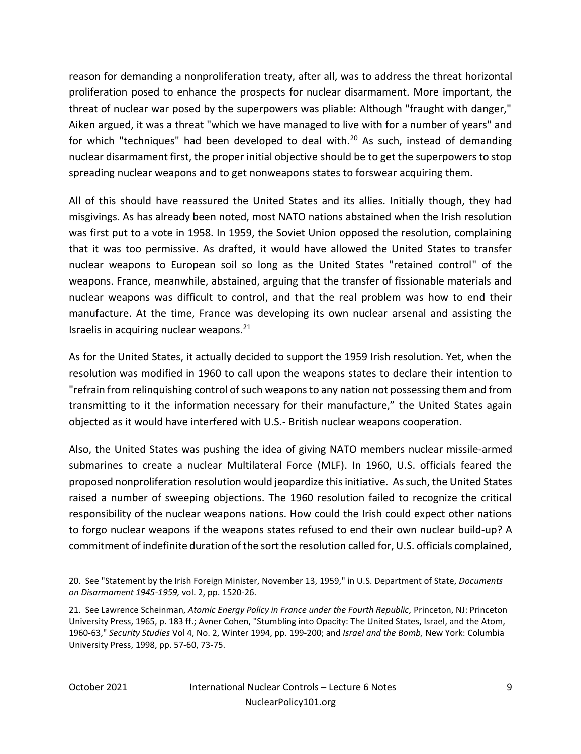reason for demanding a nonproliferation treaty, after all, was to address the threat horizontal proliferation posed to enhance the prospects for nuclear disarmament. More important, the threat of nuclear war posed by the superpowers was pliable: Although "fraught with danger," Aiken argued, it was a threat "which we have managed to live with for a number of years" and for which "techniques" had been developed to deal with.<sup>20</sup> As such, instead of demanding nuclear disarmament first, the proper initial objective should be to get the superpowers to stop spreading nuclear weapons and to get nonweapons states to forswear acquiring them.

All of this should have reassured the United States and its allies. Initially though, they had misgivings. As has already been noted, most NATO nations abstained when the Irish resolution was first put to a vote in 1958. In 1959, the Soviet Union opposed the resolution, complaining that it was too permissive. As drafted, it would have allowed the United States to transfer nuclear weapons to European soil so long as the United States "retained control" of the weapons. France, meanwhile, abstained, arguing that the transfer of fissionable materials and nuclear weapons was difficult to control, and that the real problem was how to end their manufacture. At the time, France was developing its own nuclear arsenal and assisting the Israelis in acquiring nuclear weapons.<sup>21</sup>

As for the United States, it actually decided to support the 1959 Irish resolution. Yet, when the resolution was modified in 1960 to call upon the weapons states to declare their intention to "refrain from relinquishing control of such weapons to any nation not possessing them and from transmitting to it the information necessary for their manufacture," the United States again objected as it would have interfered with U.S.- British nuclear weapons cooperation.

Also, the United States was pushing the idea of giving NATO members nuclear missile-armed submarines to create a nuclear Multilateral Force (MLF). In 1960, U.S. officials feared the proposed nonproliferation resolution would jeopardize this initiative. As such, the United States raised a number of sweeping objections. The 1960 resolution failed to recognize the critical responsibility of the nuclear weapons nations. How could the Irish could expect other nations to forgo nuclear weapons if the weapons states refused to end their own nuclear build-up? A commitment of indefinite duration of the sort the resolution called for, U.S. officials complained,

<sup>20.</sup> See "Statement by the Irish Foreign Minister, November 13, 1959," in U.S. Department of State, *Documents on Disarmament 1945-1959,* vol. 2, pp. 1520-26.

<sup>21.</sup> See Lawrence Scheinman, *Atomic Energy Policy in France under the Fourth Republic,* Princeton, NJ: Princeton University Press, 1965, p. 183 ff.; Avner Cohen, "Stumbling into Opacity: The United States, Israel, and the Atom, 1960-63," *Security Studies* Vol 4, No. 2, Winter 1994, pp. 199-200; and *Israel and the Bomb,* New York: Columbia University Press, 1998, pp. 57-60, 73-75.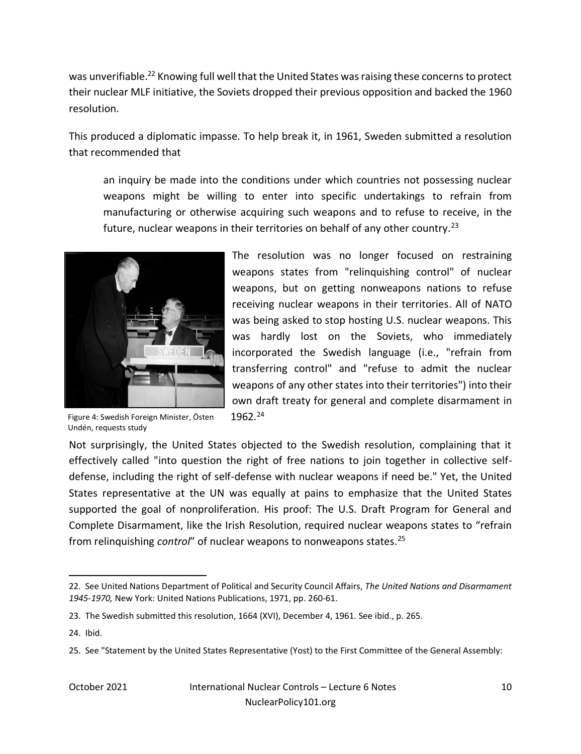was unverifiable.<sup>22</sup> Knowing full well that the United States was raising these concerns to protect their nuclear MLF initiative, the Soviets dropped their previous opposition and backed the 1960 resolution.

This produced a diplomatic impasse. To help break it, in 1961, Sweden submitted a resolution that recommended that

an inquiry be made into the conditions under which countries not possessing nuclear weapons might be willing to enter into specific undertakings to refrain from manufacturing or otherwise acquiring such weapons and to refuse to receive, in the future, nuclear weapons in their territories on behalf of any other country.<sup>23</sup>



Figure 4: Swedish Foreign Minister, Östen Undén, requests study

The resolution was no longer focused on restraining weapons states from "relinquishing control" of nuclear weapons, but on getting nonweapons nations to refuse receiving nuclear weapons in their territories. All of NATO was being asked to stop hosting U.S. nuclear weapons. This was hardly lost on the Soviets, who immediately incorporated the Swedish language (i.e., "refrain from transferring control" and "refuse to admit the nuclear weapons of any other states into their territories") into their own draft treaty for general and complete disarmament in 1962.<sup>24</sup>

Not surprisingly, the United States objected to the Swedish resolution, complaining that it effectively called "into question the right of free nations to join together in collective selfdefense, including the right of self-defense with nuclear weapons if need be." Yet, the United States representative at the UN was equally at pains to emphasize that the United States supported the goal of nonproliferation. His proof: The U.S. Draft Program for General and Complete Disarmament, like the Irish Resolution, required nuclear weapons states to "refrain from relinquishing *control*" of nuclear weapons to nonweapons states.<sup>25</sup>

<sup>22.</sup> See United Nations Department of Political and Security Council Affairs, *The United Nations and Disarmament 1945-1970,* New York: United Nations Publications, 1971, pp. 260-61.

<sup>23.</sup> The Swedish submitted this resolution, 1664 (XVI), December 4, 1961. See ibid., p. 265.

<sup>24.</sup> Ibid.

<sup>25.</sup> See "Statement by the United States Representative (Yost) to the First Committee of the General Assembly: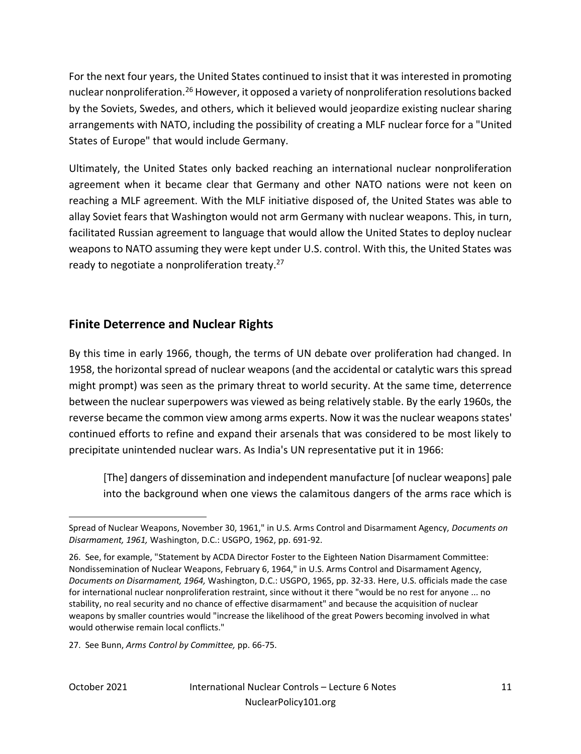For the next four years, the United States continued to insist that it was interested in promoting nuclear nonproliferation.<sup>26</sup> However, it opposed a variety of nonproliferation resolutions backed by the Soviets, Swedes, and others, which it believed would jeopardize existing nuclear sharing arrangements with NATO, including the possibility of creating a MLF nuclear force for a "United States of Europe" that would include Germany.

Ultimately, the United States only backed reaching an international nuclear nonproliferation agreement when it became clear that Germany and other NATO nations were not keen on reaching a MLF agreement. With the MLF initiative disposed of, the United States was able to allay Soviet fears that Washington would not arm Germany with nuclear weapons. This, in turn, facilitated Russian agreement to language that would allow the United States to deploy nuclear weapons to NATO assuming they were kept under U.S. control. With this, the United States was ready to negotiate a nonproliferation treaty.<sup>27</sup>

## **Finite Deterrence and Nuclear Rights**

By this time in early 1966, though, the terms of UN debate over proliferation had changed. In 1958, the horizontal spread of nuclear weapons (and the accidental or catalytic wars this spread might prompt) was seen as the primary threat to world security. At the same time, deterrence between the nuclear superpowers was viewed as being relatively stable. By the early 1960s, the reverse became the common view among arms experts. Now it was the nuclear weapons states' continued efforts to refine and expand their arsenals that was considered to be most likely to precipitate unintended nuclear wars. As India's UN representative put it in 1966:

[The] dangers of dissemination and independent manufacture [of nuclear weapons] pale into the background when one views the calamitous dangers of the arms race which is

Spread of Nuclear Weapons, November 30, 1961," in U.S. Arms Control and Disarmament Agency, *Documents on Disarmament, 1961,* Washington, D.C.: USGPO, 1962, pp. 691-92.

<sup>26.</sup> See, for example, "Statement by ACDA Director Foster to the Eighteen Nation Disarmament Committee: Nondissemination of Nuclear Weapons, February 6, 1964," in U.S. Arms Control and Disarmament Agency, *Documents on Disarmament, 1964,* Washington, D.C.: USGPO, 1965, pp. 32-33. Here, U.S. officials made the case for international nuclear nonproliferation restraint, since without it there "would be no rest for anyone ... no stability, no real security and no chance of effective disarmament" and because the acquisition of nuclear weapons by smaller countries would "increase the likelihood of the great Powers becoming involved in what would otherwise remain local conflicts."

<sup>27.</sup> See Bunn, *Arms Control by Committee,* pp. 66-75.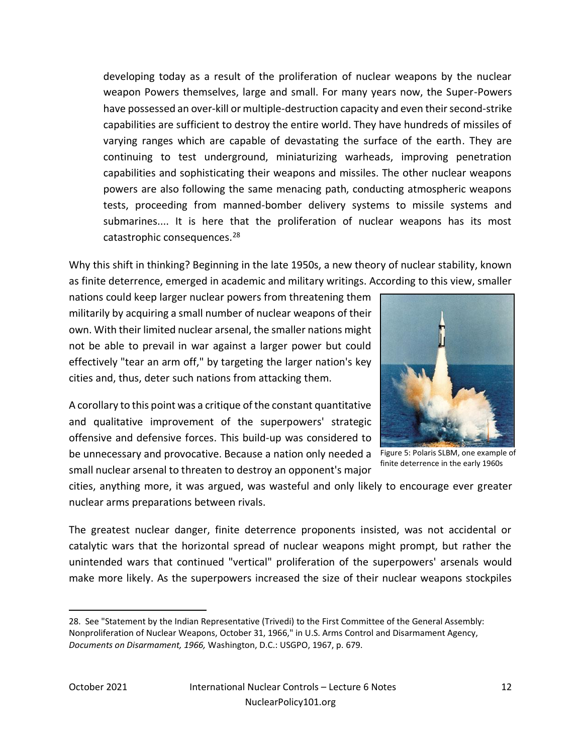developing today as a result of the proliferation of nuclear weapons by the nuclear weapon Powers themselves, large and small. For many years now, the Super-Powers have possessed an over-kill or multiple-destruction capacity and even their second-strike capabilities are sufficient to destroy the entire world. They have hundreds of missiles of varying ranges which are capable of devastating the surface of the earth. They are continuing to test underground, miniaturizing warheads, improving penetration capabilities and sophisticating their weapons and missiles. The other nuclear weapons powers are also following the same menacing path, conducting atmospheric weapons tests, proceeding from manned-bomber delivery systems to missile systems and submarines.... It is here that the proliferation of nuclear weapons has its most catastrophic consequences.<sup>28</sup>

Why this shift in thinking? Beginning in the late 1950s, a new theory of nuclear stability, known as finite deterrence, emerged in academic and military writings. According to this view, smaller

nations could keep larger nuclear powers from threatening them militarily by acquiring a small number of nuclear weapons of their own. With their limited nuclear arsenal, the smaller nations might not be able to prevail in war against a larger power but could effectively "tear an arm off," by targeting the larger nation's key cities and, thus, deter such nations from attacking them.

A corollary to this point was a critique of the constant quantitative and qualitative improvement of the superpowers' strategic offensive and defensive forces. This build-up was considered to be unnecessary and provocative. Because a nation only needed a small nuclear arsenal to threaten to destroy an opponent's major

cities, anything more, it was argued, was wasteful and only likely to encourage ever greater nuclear arms preparations between rivals.

The greatest nuclear danger, finite deterrence proponents insisted, was not accidental or catalytic wars that the horizontal spread of nuclear weapons might prompt, but rather the unintended wars that continued "vertical" proliferation of the superpowers' arsenals would make more likely. As the superpowers increased the size of their nuclear weapons stockpiles



Figure 5: Polaris SLBM, one example of finite deterrence in the early 1960s

<sup>28.</sup> See "Statement by the Indian Representative (Trivedi) to the First Committee of the General Assembly: Nonproliferation of Nuclear Weapons, October 31, 1966," in U.S. Arms Control and Disarmament Agency, *Documents on Disarmament, 1966,* Washington, D.C.: USGPO, 1967, p. 679.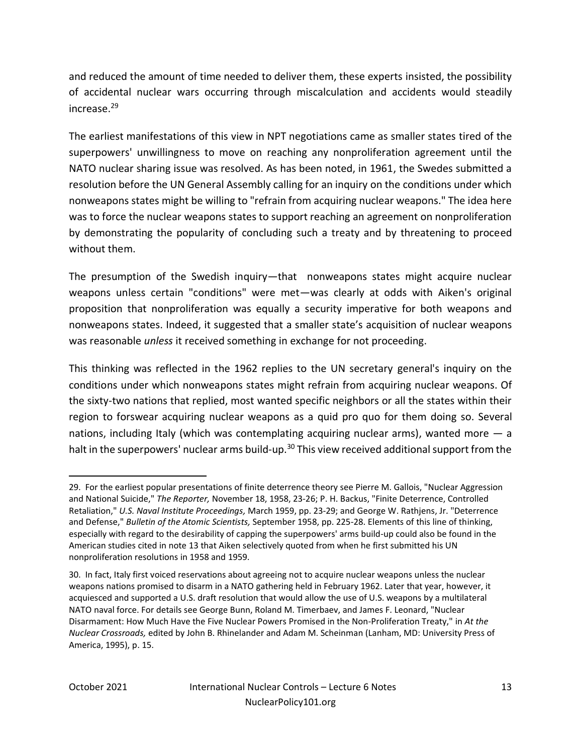and reduced the amount of time needed to deliver them, these experts insisted, the possibility of accidental nuclear wars occurring through miscalculation and accidents would steadily increase.<sup>29</sup>

The earliest manifestations of this view in NPT negotiations came as smaller states tired of the superpowers' unwillingness to move on reaching any nonproliferation agreement until the NATO nuclear sharing issue was resolved. As has been noted, in 1961, the Swedes submitted a resolution before the UN General Assembly calling for an inquiry on the conditions under which nonweapons states might be willing to "refrain from acquiring nuclear weapons." The idea here was to force the nuclear weapons states to support reaching an agreement on nonproliferation by demonstrating the popularity of concluding such a treaty and by threatening to proceed without them.

The presumption of the Swedish inquiry—that nonweapons states might acquire nuclear weapons unless certain "conditions" were met—was clearly at odds with Aiken's original proposition that nonproliferation was equally a security imperative for both weapons and nonweapons states. Indeed, it suggested that a smaller state's acquisition of nuclear weapons was reasonable *unless* it received something in exchange for not proceeding.

This thinking was reflected in the 1962 replies to the UN secretary general's inquiry on the conditions under which nonweapons states might refrain from acquiring nuclear weapons. Of the sixty-two nations that replied, most wanted specific neighbors or all the states within their region to forswear acquiring nuclear weapons as a quid pro quo for them doing so. Several nations, including Italy (which was contemplating acquiring nuclear arms), wanted more  $-$  a halt in the superpowers' nuclear arms build-up.<sup>30</sup> This view received additional support from the

<sup>29.</sup> For the earliest popular presentations of finite deterrence theory see Pierre M. Gallois, "Nuclear Aggression and National Suicide," *The Reporter,* November 18, 1958, 23-26; P. H. Backus, "Finite Deterrence, Controlled Retaliation," *U.S. Naval Institute Proceedings,* March 1959, pp. 23-29; and George W. Rathjens, Jr. "Deterrence and Defense," *Bulletin of the Atomic Scientists,* September 1958, pp. 225-28. Elements of this line of thinking, especially with regard to the desirability of capping the superpowers' arms build-up could also be found in the American studies cited in note 13 that Aiken selectively quoted from when he first submitted his UN nonproliferation resolutions in 1958 and 1959.

<sup>30.</sup> In fact, Italy first voiced reservations about agreeing not to acquire nuclear weapons unless the nuclear weapons nations promised to disarm in a NATO gathering held in February 1962. Later that year, however, it acquiesced and supported a U.S. draft resolution that would allow the use of U.S. weapons by a multilateral NATO naval force. For details see George Bunn, Roland M. Timerbaev, and James F. Leonard, "Nuclear Disarmament: How Much Have the Five Nuclear Powers Promised in the Non-Proliferation Treaty," in *At the Nuclear Crossroads,* edited by John B. Rhinelander and Adam M. Scheinman (Lanham, MD: University Press of America, 1995), p. 15.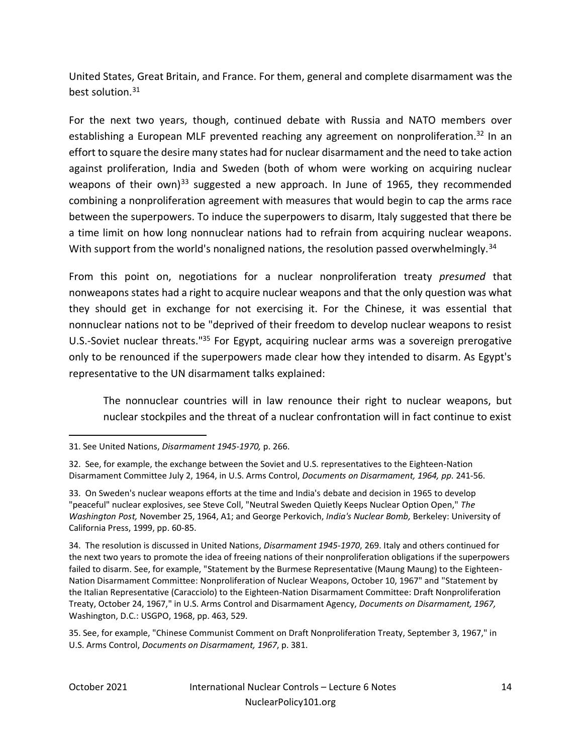United States, Great Britain, and France. For them, general and complete disarmament was the best solution.<sup>31</sup>

For the next two years, though, continued debate with Russia and NATO members over establishing a European MLF prevented reaching any agreement on nonproliferation.<sup>32</sup> In an effort to square the desire many states had for nuclear disarmament and the need to take action against proliferation, India and Sweden (both of whom were working on acquiring nuclear weapons of their own)<sup>33</sup> suggested a new approach. In June of 1965, they recommended combining a nonproliferation agreement with measures that would begin to cap the arms race between the superpowers. To induce the superpowers to disarm, Italy suggested that there be a time limit on how long nonnuclear nations had to refrain from acquiring nuclear weapons. With support from the world's nonaligned nations, the resolution passed overwhelmingly.<sup>34</sup>

From this point on, negotiations for a nuclear nonproliferation treaty *presumed* that nonweapons states had a right to acquire nuclear weapons and that the only question was what they should get in exchange for not exercising it. For the Chinese, it was essential that nonnuclear nations not to be "deprived of their freedom to develop nuclear weapons to resist U.S.-Soviet nuclear threats."<sup>35</sup> For Egypt, acquiring nuclear arms was a sovereign prerogative only to be renounced if the superpowers made clear how they intended to disarm. As Egypt's representative to the UN disarmament talks explained:

The nonnuclear countries will in law renounce their right to nuclear weapons, but nuclear stockpiles and the threat of a nuclear confrontation will in fact continue to exist

<sup>31.</sup> See United Nations, *Disarmament 1945-1970,* p. 266.

<sup>32.</sup> See, for example, the exchange between the Soviet and U.S. representatives to the Eighteen-Nation Disarmament Committee July 2, 1964, in U.S. Arms Control, *Documents on Disarmament, 1964, pp.* 241-56.

<sup>33.</sup> On Sweden's nuclear weapons efforts at the time and India's debate and decision in 1965 to develop "peaceful" nuclear explosives, see Steve Coll, "Neutral Sweden Quietly Keeps Nuclear Option Open," *The Washington Post,* November 25, 1964, A1; and George Perkovich, *India's Nuclear Bomb,* Berkeley: University of California Press, 1999, pp. 60-85.

<sup>34.</sup> The resolution is discussed in United Nations, *Disarmament 1945-1970*, 269. Italy and others continued for the next two years to promote the idea of freeing nations of their nonproliferation obligations if the superpowers failed to disarm. See, for example, "Statement by the Burmese Representative (Maung Maung) to the Eighteen-Nation Disarmament Committee: Nonproliferation of Nuclear Weapons, October 10, 1967" and "Statement by the Italian Representative (Caracciolo) to the Eighteen-Nation Disarmament Committee: Draft Nonproliferation Treaty, October 24, 1967," in U.S. Arms Control and Disarmament Agency, *Documents on Disarmament, 1967,* Washington, D.C.: USGPO, 1968, pp. 463, 529.

<sup>35.</sup> See, for example, "Chinese Communist Comment on Draft Nonproliferation Treaty, September 3, 1967," in U.S. Arms Control, *Documents on Disarmament, 1967*, p. 381.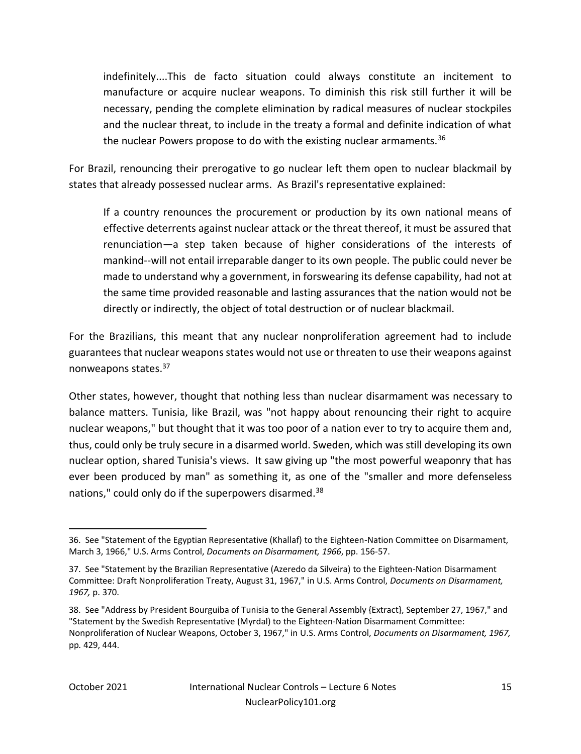indefinitely....This de facto situation could always constitute an incitement to manufacture or acquire nuclear weapons. To diminish this risk still further it will be necessary, pending the complete elimination by radical measures of nuclear stockpiles and the nuclear threat, to include in the treaty a formal and definite indication of what the nuclear Powers propose to do with the existing nuclear armaments.  $36$ 

For Brazil, renouncing their prerogative to go nuclear left them open to nuclear blackmail by states that already possessed nuclear arms. As Brazil's representative explained:

If a country renounces the procurement or production by its own national means of effective deterrents against nuclear attack or the threat thereof, it must be assured that renunciation—a step taken because of higher considerations of the interests of mankind--will not entail irreparable danger to its own people. The public could never be made to understand why a government, in forswearing its defense capability, had not at the same time provided reasonable and lasting assurances that the nation would not be directly or indirectly, the object of total destruction or of nuclear blackmail.

For the Brazilians, this meant that any nuclear nonproliferation agreement had to include guarantees that nuclear weaponsstates would not use or threaten to use their weapons against nonweapons states.<sup>37</sup>

Other states, however, thought that nothing less than nuclear disarmament was necessary to balance matters. Tunisia, like Brazil, was "not happy about renouncing their right to acquire nuclear weapons," but thought that it was too poor of a nation ever to try to acquire them and, thus, could only be truly secure in a disarmed world. Sweden, which was still developing its own nuclear option, shared Tunisia's views. It saw giving up "the most powerful weaponry that has ever been produced by man" as something it, as one of the "smaller and more defenseless nations," could only do if the superpowers disarmed.<sup>38</sup>

<sup>36.</sup> See "Statement of the Egyptian Representative (Khallaf) to the Eighteen-Nation Committee on Disarmament, March 3, 1966," U.S. Arms Control, *Documents on Disarmament, 1966*, pp. 156-57.

<sup>37.</sup> See "Statement by the Brazilian Representative (Azeredo da Silveira) to the Eighteen-Nation Disarmament Committee: Draft Nonproliferation Treaty, August 31, 1967," in U.S. Arms Control, *Documents on Disarmament, 1967,* p. 370.

<sup>38.</sup> See "Address by President Bourguiba of Tunisia to the General Assembly {Extract}, September 27, 1967," and "Statement by the Swedish Representative (Myrdal) to the Eighteen-Nation Disarmament Committee: Nonproliferation of Nuclear Weapons, October 3, 1967," in U.S. Arms Control, *Documents on Disarmament, 1967,*  pp*.* 429, 444.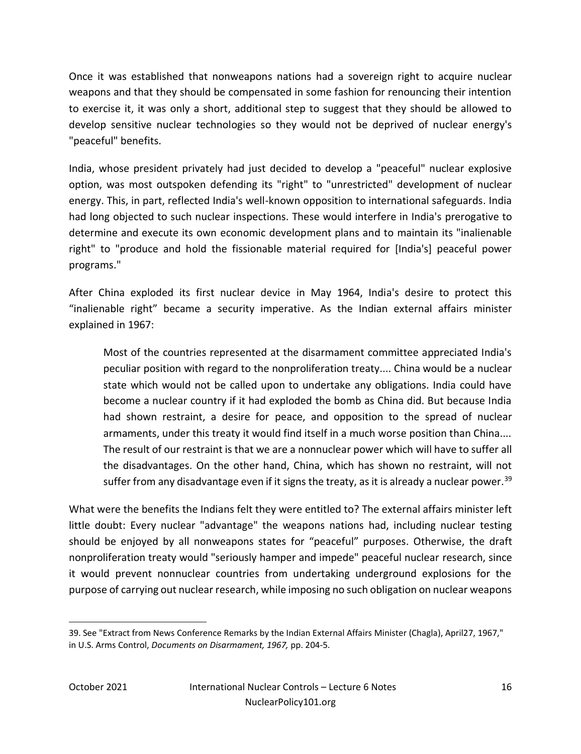Once it was established that nonweapons nations had a sovereign right to acquire nuclear weapons and that they should be compensated in some fashion for renouncing their intention to exercise it, it was only a short, additional step to suggest that they should be allowed to develop sensitive nuclear technologies so they would not be deprived of nuclear energy's "peaceful" benefits.

India, whose president privately had just decided to develop a "peaceful" nuclear explosive option, was most outspoken defending its "right" to "unrestricted" development of nuclear energy. This, in part, reflected India's well-known opposition to international safeguards. India had long objected to such nuclear inspections. These would interfere in India's prerogative to determine and execute its own economic development plans and to maintain its "inalienable right" to "produce and hold the fissionable material required for [India's] peaceful power programs."

After China exploded its first nuclear device in May 1964, India's desire to protect this "inalienable right" became a security imperative. As the Indian external affairs minister explained in 1967:

Most of the countries represented at the disarmament committee appreciated India's peculiar position with regard to the nonproliferation treaty.... China would be a nuclear state which would not be called upon to undertake any obligations. India could have become a nuclear country if it had exploded the bomb as China did. But because India had shown restraint, a desire for peace, and opposition to the spread of nuclear armaments, under this treaty it would find itself in a much worse position than China.... The result of our restraint is that we are a nonnuclear power which will have to suffer all the disadvantages. On the other hand, China, which has shown no restraint, will not suffer from any disadvantage even if it signs the treaty, as it is already a nuclear power.<sup>39</sup>

What were the benefits the Indians felt they were entitled to? The external affairs minister left little doubt: Every nuclear "advantage" the weapons nations had, including nuclear testing should be enjoyed by all nonweapons states for "peaceful" purposes. Otherwise, the draft nonproliferation treaty would "seriously hamper and impede" peaceful nuclear research, since it would prevent nonnuclear countries from undertaking underground explosions for the purpose of carrying out nuclear research, while imposing no such obligation on nuclear weapons

<sup>39.</sup> See "Extract from News Conference Remarks by the Indian External Affairs Minister (Chagla), April27, 1967," in U.S. Arms Control, *Documents on Disarmament, 1967,* pp. 204-5.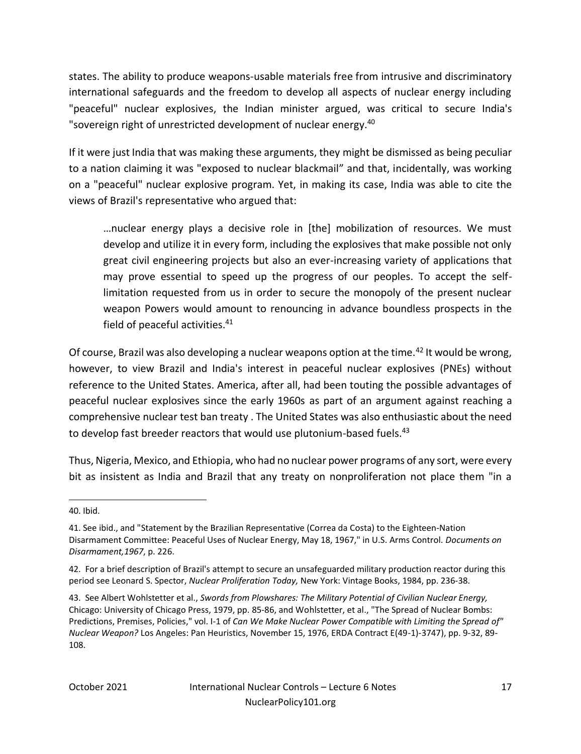states. The ability to produce weapons-usable materials free from intrusive and discriminatory international safeguards and the freedom to develop all aspects of nuclear energy including "peaceful" nuclear explosives, the Indian minister argued, was critical to secure India's "sovereign right of unrestricted development of nuclear energy.<sup>40</sup>

If it were just India that was making these arguments, they might be dismissed as being peculiar to a nation claiming it was "exposed to nuclear blackmail" and that, incidentally, was working on a "peaceful" nuclear explosive program. Yet, in making its case, India was able to cite the views of Brazil's representative who argued that:

…nuclear energy plays a decisive role in [the] mobilization of resources. We must develop and utilize it in every form, including the explosives that make possible not only great civil engineering projects but also an ever-increasing variety of applications that may prove essential to speed up the progress of our peoples. To accept the selflimitation requested from us in order to secure the monopoly of the present nuclear weapon Powers would amount to renouncing in advance boundless prospects in the field of peaceful activities.<sup>41</sup>

Of course, Brazil was also developing a nuclear weapons option at the time.<sup>42</sup> It would be wrong, however, to view Brazil and India's interest in peaceful nuclear explosives (PNEs) without reference to the United States. America, after all, had been touting the possible advantages of peaceful nuclear explosives since the early 1960s as part of an argument against reaching a comprehensive nuclear test ban treaty . The United States was also enthusiastic about the need to develop fast breeder reactors that would use plutonium-based fuels.<sup>43</sup>

Thus, Nigeria, Mexico, and Ethiopia, who had no nuclear power programs of any sort, were every bit as insistent as India and Brazil that any treaty on nonproliferation not place them "in a

<sup>40.</sup> Ibid.

<sup>41.</sup> See ibid., and "Statement by the Brazilian Representative (Correa da Costa) to the Eighteen-Nation Disarmament Committee: Peaceful Uses of Nuclear Energy, May 18, 1967," in U.S. Arms Control. *Documents on Disarmament,1967*, p. 226.

<sup>42.</sup> For a brief description of Brazil's attempt to secure an unsafeguarded military production reactor during this period see Leonard S. Spector, *Nuclear Proliferation Today,* New York: Vintage Books, 1984, pp. 236-38.

<sup>43.</sup> See Albert Wohlstetter et al., *Swords from Plowshares: The Military Potential of Civilian Nuclear Energy,*  Chicago: University of Chicago Press, 1979, pp. 85-86, and Wohlstetter, et al., "The Spread of Nuclear Bombs: Predictions, Premises, Policies," vol. I-1 of *Can We Make Nuclear Power Compatible with Limiting the Spread of" Nuclear Weapon?* Los Angeles: Pan Heuristics, November 15, 1976, ERDA Contract E(49-1)-3747), pp. 9-32, 89- 108.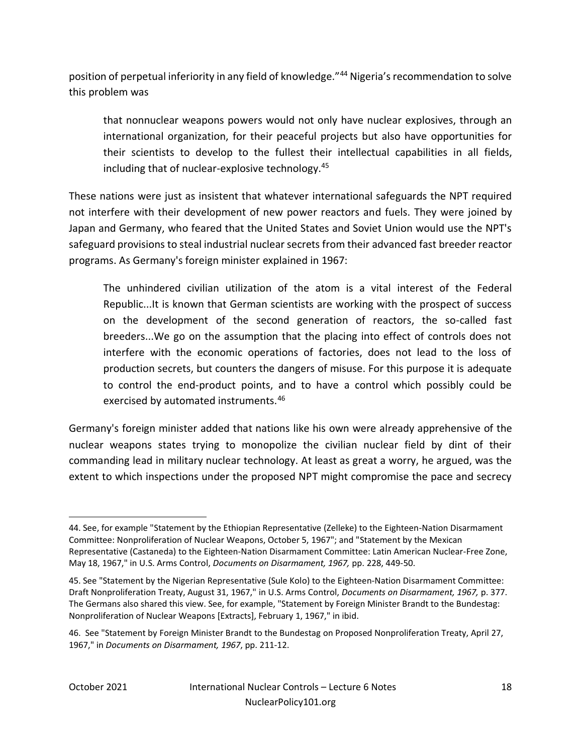position of perpetual inferiority in any field of knowledge."<sup>44</sup> Nigeria's recommendation to solve this problem was

that nonnuclear weapons powers would not only have nuclear explosives, through an international organization, for their peaceful projects but also have opportunities for their scientists to develop to the fullest their intellectual capabilities in all fields, including that of nuclear-explosive technology.<sup>45</sup>

These nations were just as insistent that whatever international safeguards the NPT required not interfere with their development of new power reactors and fuels. They were joined by Japan and Germany, who feared that the United States and Soviet Union would use the NPT's safeguard provisions to steal industrial nuclear secrets from their advanced fast breeder reactor programs. As Germany's foreign minister explained in 1967:

The unhindered civilian utilization of the atom is a vital interest of the Federal Republic...It is known that German scientists are working with the prospect of success on the development of the second generation of reactors, the so-called fast breeders...We go on the assumption that the placing into effect of controls does not interfere with the economic operations of factories, does not lead to the loss of production secrets, but counters the dangers of misuse. For this purpose it is adequate to control the end-product points, and to have a control which possibly could be exercised by automated instruments.<sup>46</sup>

Germany's foreign minister added that nations like his own were already apprehensive of the nuclear weapons states trying to monopolize the civilian nuclear field by dint of their commanding lead in military nuclear technology. At least as great a worry, he argued, was the extent to which inspections under the proposed NPT might compromise the pace and secrecy

<sup>44.</sup> See, for example "Statement by the Ethiopian Representative (Zelleke) to the Eighteen-Nation Disarmament Committee: Nonproliferation of Nuclear Weapons, October 5, 1967"; and "Statement by the Mexican Representative (Castaneda) to the Eighteen-Nation Disarmament Committee: Latin American Nuclear-Free Zone, May 18, 1967," in U.S. Arms Control, *Documents on Disarmament, 1967,* pp. 228, 449-50.

<sup>45.</sup> See "Statement by the Nigerian Representative (Sule Kolo) to the Eighteen-Nation Disarmament Committee: Draft Nonproliferation Treaty, August 31, 1967," in U.S. Arms Control, *Documents on Disarmament, 1967,* p. 377. The Germans also shared this view. See, for example, "Statement by Foreign Minister Brandt to the Bundestag: Nonproliferation of Nuclear Weapons [Extracts], February 1, 1967," in ibid.

<sup>46.</sup> See "Statement by Foreign Minister Brandt to the Bundestag on Proposed Nonproliferation Treaty, April 27, 1967," in *Documents on Disarmament, 1967*, pp. 211-12.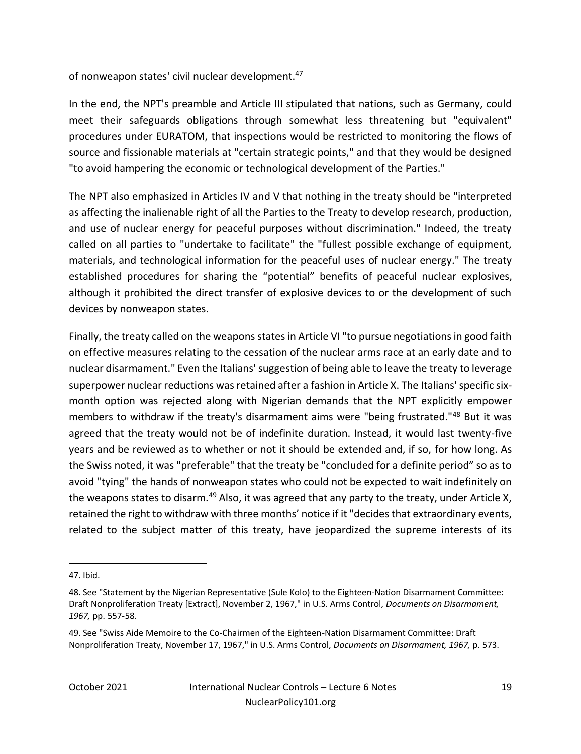of nonweapon states' civil nuclear development.<sup>47</sup>

In the end, the NPT's preamble and Article III stipulated that nations, such as Germany, could meet their safeguards obligations through somewhat less threatening but "equivalent" procedures under EURATOM, that inspections would be restricted to monitoring the flows of source and fissionable materials at "certain strategic points," and that they would be designed "to avoid hampering the economic or technological development of the Parties."

The NPT also emphasized in Articles IV and V that nothing in the treaty should be "interpreted as affecting the inalienable right of all the Parties to the Treaty to develop research, production, and use of nuclear energy for peaceful purposes without discrimination." Indeed, the treaty called on all parties to "undertake to facilitate" the "fullest possible exchange of equipment, materials, and technological information for the peaceful uses of nuclear energy." The treaty established procedures for sharing the "potential" benefits of peaceful nuclear explosives, although it prohibited the direct transfer of explosive devices to or the development of such devices by nonweapon states.

Finally, the treaty called on the weapons states in Article VI "to pursue negotiations in good faith on effective measures relating to the cessation of the nuclear arms race at an early date and to nuclear disarmament." Even the Italians' suggestion of being able to leave the treaty to leverage superpower nuclear reductions was retained after a fashion in Article X. The Italians' specific sixmonth option was rejected along with Nigerian demands that the NPT explicitly empower members to withdraw if the treaty's disarmament aims were "being frustrated."<sup>48</sup> But it was agreed that the treaty would not be of indefinite duration. Instead, it would last twenty-five years and be reviewed as to whether or not it should be extended and, if so, for how long. As the Swiss noted, it was "preferable" that the treaty be "concluded for a definite period" so as to avoid "tying" the hands of nonweapon states who could not be expected to wait indefinitely on the weapons states to disarm.<sup>49</sup> Also, it was agreed that any party to the treaty, under Article X, retained the right to withdraw with three months' notice if it "decides that extraordinary events, related to the subject matter of this treaty, have jeopardized the supreme interests of its

<sup>47.</sup> Ibid.

<sup>48.</sup> See "Statement by the Nigerian Representative (Sule Kolo) to the Eighteen-Nation Disarmament Committee: Draft Nonproliferation Treaty [Extract], November 2, 1967," in U.S. Arms Control, *Documents on Disarmament, 1967,* pp. 557-58.

<sup>49.</sup> See "Swiss Aide Memoire to the Co-Chairmen of the Eighteen-Nation Disarmament Committee: Draft Nonproliferation Treaty, November 17, 1967," in U.S. Arms Control, *Documents on Disarmament, 1967,* p. 573.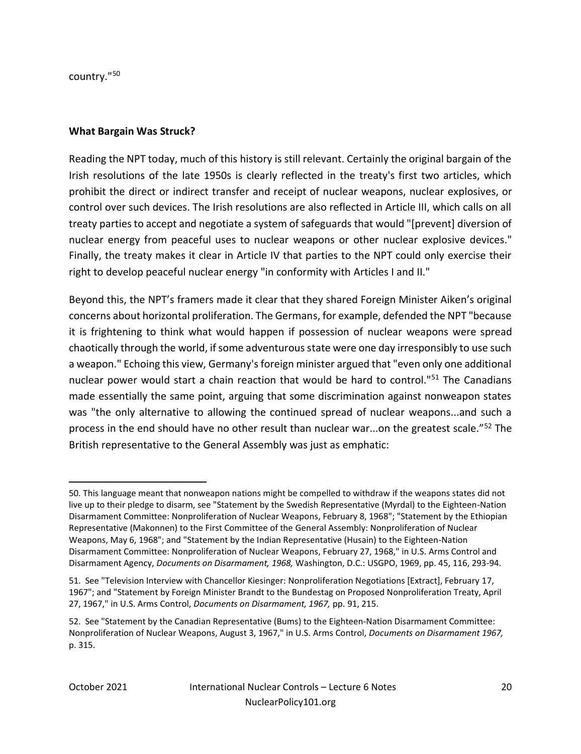country."<sup>50</sup>

#### **What Bargain Was Struck?**

Reading the NPT today, much of this history is still relevant. Certainly the original bargain of the Irish resolutions of the late 1950s is clearly reflected in the treaty's first two articles, which prohibit the direct or indirect transfer and receipt of nuclear weapons, nuclear explosives, or control over such devices. The Irish resolutions are also reflected in Article III, which calls on all treaty parties to accept and negotiate a system of safeguards that would "[prevent] diversion of nuclear energy from peaceful uses to nuclear weapons or other nuclear explosive devices." Finally, the treaty makes it clear in Article IV that parties to the NPT could only exercise their right to develop peaceful nuclear energy "in conformity with Articles I and II."

Beyond this, the NPT's framers made it clear that they shared Foreign Minister Aiken's original concerns about horizontal proliferation. The Germans, for example, defended the NPT "because it is frightening to think what would happen if possession of nuclear weapons were spread chaotically through the world, if some adventurous state were one day irresponsibly to use such a weapon." Echoing this view, Germany's foreign minister argued that "even only one additional nuclear power would start a chain reaction that would be hard to control."<sup>51</sup> The Canadians made essentially the same point, arguing that some discrimination against nonweapon states was "the only alternative to allowing the continued spread of nuclear weapons...and such a process in the end should have no other result than nuclear war...on the greatest scale."<sup>52</sup> The British representative to the General Assembly was just as emphatic:

<sup>50.</sup> This language meant that nonweapon nations might be compelled to withdraw if the weapons states did not live up to their pledge to disarm, see "Statement by the Swedish Representative (Myrdal) to the Eighteen-Nation Disarmament Committee: Nonproliferation of Nuclear Weapons, February 8, 1968"; "Statement by the Ethiopian Representative (Makonnen) to the First Committee of the General Assembly: Nonproliferation of Nuclear Weapons, May 6, 1968"; and "Statement by the Indian Representative (Husain) to the Eighteen-Nation Disarmament Committee: Nonproliferation of Nuclear Weapons, February 27, 1968," in U.S. Arms Control and Disarmament Agency, *Documents on Disarmament, 1968,* Washington, D.C.: USGPO, 1969, pp. 45, 116, 293-94.

<sup>51.</sup> See "Television Interview with Chancellor Kiesinger: Nonproliferation Negotiations [Extract], February 17, 1967"; and "Statement by Foreign Minister Brandt to the Bundestag on Proposed Nonproliferation Treaty, April 27, 1967," in U.S. Arms Control, *Documents on Disarmament, 1967,* pp. 91, 215.

<sup>52.</sup> See "Statement by the Canadian Representative (Bums) to the Eighteen-Nation Disarmament Committee: Nonproliferation of Nuclear Weapons, August 3, 1967," in U.S. Arms Control, *Documents on Disarmament 1967,*  p. 315.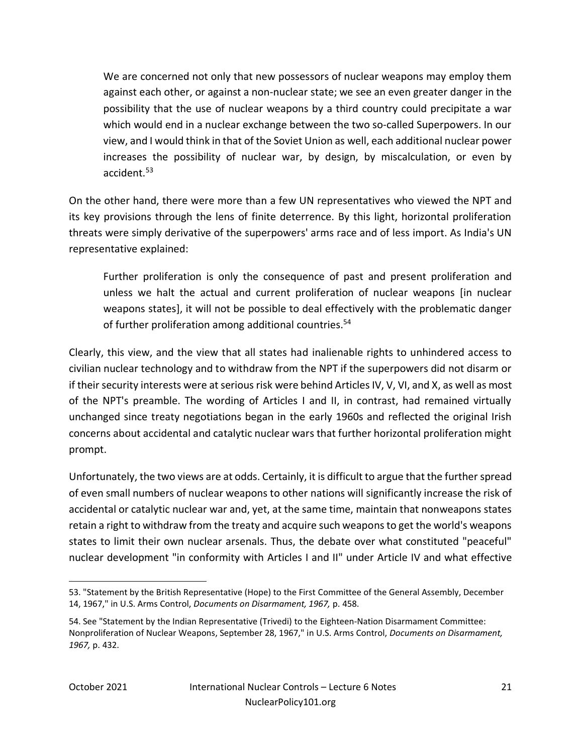We are concerned not only that new possessors of nuclear weapons may employ them against each other, or against a non-nuclear state; we see an even greater danger in the possibility that the use of nuclear weapons by a third country could precipitate a war which would end in a nuclear exchange between the two so-called Superpowers. In our view, and I would think in that of the Soviet Union as well, each additional nuclear power increases the possibility of nuclear war, by design, by miscalculation, or even by accident.<sup>53</sup>

On the other hand, there were more than a few UN representatives who viewed the NPT and its key provisions through the lens of finite deterrence. By this light, horizontal proliferation threats were simply derivative of the superpowers' arms race and of less import. As India's UN representative explained:

Further proliferation is only the consequence of past and present proliferation and unless we halt the actual and current proliferation of nuclear weapons [in nuclear weapons states], it will not be possible to deal effectively with the problematic danger of further proliferation among additional countries.<sup>54</sup>

Clearly, this view, and the view that all states had inalienable rights to unhindered access to civilian nuclear technology and to withdraw from the NPT if the superpowers did not disarm or if their security interests were at serious risk were behind Articles IV, V, VI, and X, as well as most of the NPT's preamble. The wording of Articles I and II, in contrast, had remained virtually unchanged since treaty negotiations began in the early 1960s and reflected the original Irish concerns about accidental and catalytic nuclear wars that further horizontal proliferation might prompt.

Unfortunately, the two views are at odds. Certainly, it is difficult to argue that the further spread of even small numbers of nuclear weapons to other nations will significantly increase the risk of accidental or catalytic nuclear war and, yet, at the same time, maintain that nonweapons states retain a right to withdraw from the treaty and acquire such weapons to get the world's weapons states to limit their own nuclear arsenals. Thus, the debate over what constituted "peaceful" nuclear development "in conformity with Articles I and II" under Article IV and what effective

<sup>53.</sup> "Statement by the British Representative (Hope) to the First Committee of the General Assembly, December 14, 1967," in U.S. Arms Control, *Documents on Disarmament, 1967,* p. 458.

<sup>54.</sup> See "Statement by the Indian Representative (Trivedi) to the Eighteen-Nation Disarmament Committee: Nonproliferation of Nuclear Weapons, September 28, 1967," in U.S. Arms Control, *Documents on Disarmament, 1967,* p. 432.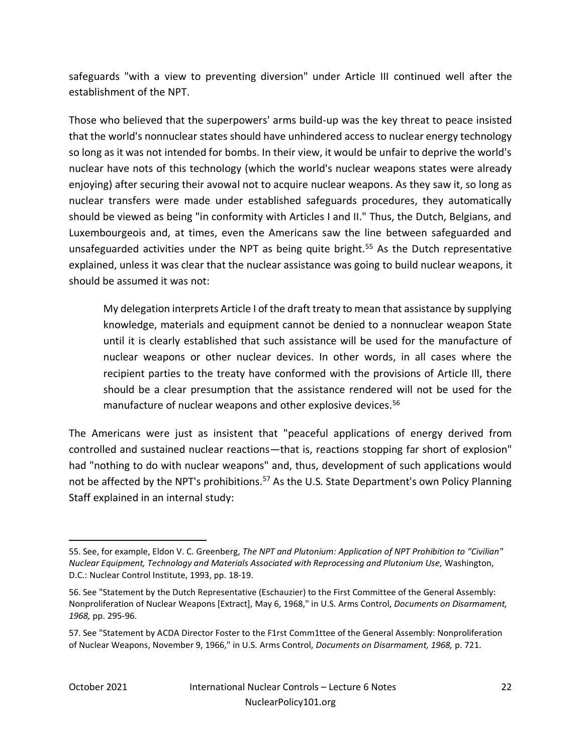safeguards "with a view to preventing diversion" under Article III continued well after the establishment of the NPT.

Those who believed that the superpowers' arms build-up was the key threat to peace insisted that the world's nonnuclear states should have unhindered access to nuclear energy technology so long as it was not intended for bombs. In their view, it would be unfair to deprive the world's nuclear have nots of this technology (which the world's nuclear weapons states were already enjoying) after securing their avowal not to acquire nuclear weapons. As they saw it, so long as nuclear transfers were made under established safeguards procedures, they automatically should be viewed as being "in conformity with Articles I and II." Thus, the Dutch, Belgians, and Luxembourgeois and, at times, even the Americans saw the line between safeguarded and unsafeguarded activities under the NPT as being quite bright.<sup>55</sup> As the Dutch representative explained, unless it was clear that the nuclear assistance was going to build nuclear weapons, it should be assumed it was not:

My delegation interprets Article I of the draft treaty to mean that assistance by supplying knowledge, materials and equipment cannot be denied to a nonnuclear weapon State until it is clearly established that such assistance will be used for the manufacture of nuclear weapons or other nuclear devices. In other words, in all cases where the recipient parties to the treaty have conformed with the provisions of Article Ill, there should be a clear presumption that the assistance rendered will not be used for the manufacture of nuclear weapons and other explosive devices.<sup>56</sup>

The Americans were just as insistent that "peaceful applications of energy derived from controlled and sustained nuclear reactions—that is, reactions stopping far short of explosion" had "nothing to do with nuclear weapons" and, thus, development of such applications would not be affected by the NPT's prohibitions.<sup>57</sup> As the U.S. State Department's own Policy Planning Staff explained in an internal study:

<sup>55.</sup> See, for example, Eldon V. C. Greenberg, *The NPT and Plutonium: Application of NPT Prohibition to "Civilian" Nuclear Equipment, Technology and Materials Associated with Reprocessing and Plutonium Use,* Washington, D.C.: Nuclear Control Institute, 1993, pp. 18-19.

<sup>56.</sup> See "Statement by the Dutch Representative (Eschauzier) to the First Committee of the General Assembly: Nonproliferation of Nuclear Weapons [Extract], May 6, 1968," in U.S. Arms Control, *Documents on Disarmament, 1968,* pp. 295-96.

<sup>57.</sup> See "Statement by ACDA Director Foster to the F1rst Comm1ttee of the General Assembly: Nonproliferation of Nuclear Weapons, November 9, 1966," in U.S. Arms Control, *Documents on Disarmament, 1968,* p. 721.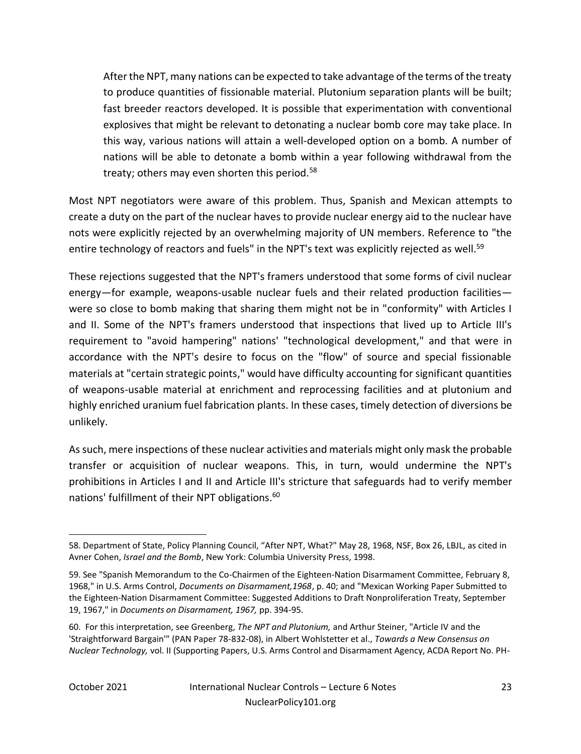After the NPT, many nations can be expected to take advantage of the terms of the treaty to produce quantities of fissionable material. Plutonium separation plants will be built; fast breeder reactors developed. It is possible that experimentation with conventional explosives that might be relevant to detonating a nuclear bomb core may take place. In this way, various nations will attain a well-developed option on a bomb. A number of nations will be able to detonate a bomb within a year following withdrawal from the treaty; others may even shorten this period.<sup>58</sup>

Most NPT negotiators were aware of this problem. Thus, Spanish and Mexican attempts to create a duty on the part of the nuclear haves to provide nuclear energy aid to the nuclear have nots were explicitly rejected by an overwhelming majority of UN members. Reference to "the entire technology of reactors and fuels" in the NPT's text was explicitly rejected as well.<sup>59</sup>

These rejections suggested that the NPT's framers understood that some forms of civil nuclear energy—for example, weapons-usable nuclear fuels and their related production facilities were so close to bomb making that sharing them might not be in "conformity" with Articles I and II. Some of the NPT's framers understood that inspections that lived up to Article III's requirement to "avoid hampering" nations' "technological development," and that were in accordance with the NPT's desire to focus on the "flow" of source and special fissionable materials at "certain strategic points," would have difficulty accounting for significant quantities of weapons-usable material at enrichment and reprocessing facilities and at plutonium and highly enriched uranium fuel fabrication plants. In these cases, timely detection of diversions be unlikely.

As such, mere inspections of these nuclear activities and materials might only mask the probable transfer or acquisition of nuclear weapons. This, in turn, would undermine the NPT's prohibitions in Articles I and II and Article III's stricture that safeguards had to verify member nations' fulfillment of their NPT obligations.<sup>60</sup>

<sup>58.</sup> Department of State, Policy Planning Council, "After NPT, What?" May 28, 1968, NSF, Box 26, LBJL, as cited in Avner Cohen, *Israel and the Bomb*, New York: Columbia University Press, 1998.

<sup>59.</sup> See "Spanish Memorandum to the Co-Chairmen of the Eighteen-Nation Disarmament Committee, February 8, 1968," in U.S. Arms Control, *Documents on Disarmament,1968*, p. 40; and "Mexican Working Paper Submitted to the Eighteen-Nation Disarmament Committee: Suggested Additions to Draft Nonproliferation Treaty, September 19, 1967," in *Documents on Disarmament, 1967,* pp. 394-95.

<sup>60.</sup> For this interpretation, see Greenberg, *The NPT and Plutonium,* and Arthur Steiner, "Article IV and the 'Straightforward Bargain'" (PAN Paper 78-832-08), in Albert Wohlstetter et al., *Towards a New Consensus on Nuclear Technology,* vol. II (Supporting Papers, U.S. Arms Control and Disarmament Agency, ACDA Report No. PH-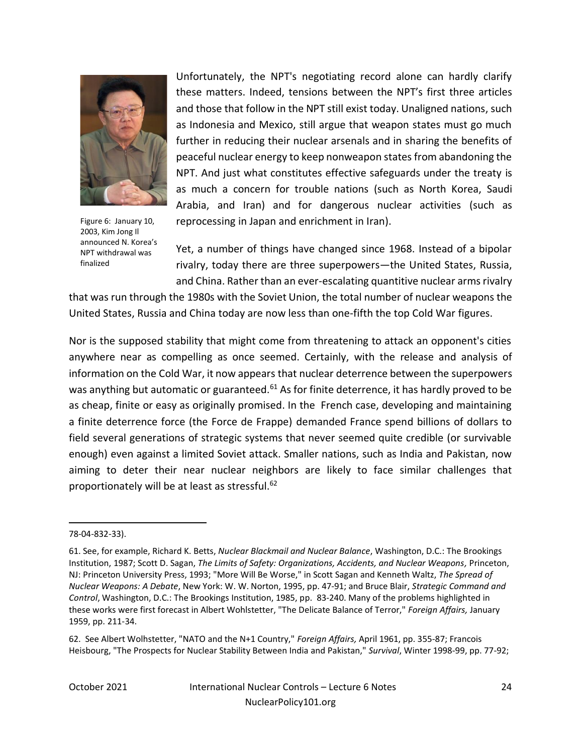

Figure 6: January 10, 2003, Kim Jong Il announced N. Korea's NPT withdrawal was finalized

Unfortunately, the NPT's negotiating record alone can hardly clarify these matters. Indeed, tensions between the NPT's first three articles and those that follow in the NPT still exist today. Unaligned nations, such as Indonesia and Mexico, still argue that weapon states must go much further in reducing their nuclear arsenals and in sharing the benefits of peaceful nuclear energy to keep nonweapon states from abandoning the NPT. And just what constitutes effective safeguards under the treaty is as much a concern for trouble nations (such as North Korea, Saudi Arabia, and Iran) and for dangerous nuclear activities (such as reprocessing in Japan and enrichment in Iran).

Yet, a number of things have changed since 1968. Instead of a bipolar rivalry, today there are three superpowers—the United States, Russia, and China. Rather than an ever-escalating quantitive nuclear arms rivalry

that was run through the 1980s with the Soviet Union, the total number of nuclear weapons the United States, Russia and China today are now less than one-fifth the top Cold War figures.

Nor is the supposed stability that might come from threatening to attack an opponent's cities anywhere near as compelling as once seemed. Certainly, with the release and analysis of information on the Cold War, it now appears that nuclear deterrence between the superpowers was anything but automatic or guaranteed.<sup>61</sup> As for finite deterrence, it has hardly proved to be as cheap, finite or easy as originally promised. In the French case, developing and maintaining a finite deterrence force (the Force de Frappe) demanded France spend billions of dollars to field several generations of strategic systems that never seemed quite credible (or survivable enough) even against a limited Soviet attack. Smaller nations, such as India and Pakistan, now aiming to deter their near nuclear neighbors are likely to face similar challenges that proportionately will be at least as stressful.<sup>62</sup>

<sup>78-04-832-33).</sup>

<sup>61.</sup> See, for example, Richard K. Betts, *Nuclear Blackmail and Nuclear Balance*, Washington, D.C.: The Brookings Institution, 1987; Scott D. Sagan, *The Limits of Safety: Organizations, Accidents, and Nuclear Weapons,* Princeton, NJ: Princeton University Press, 1993; "More Will Be Worse," in Scott Sagan and Kenneth Waltz, *The Spread of Nuclear Weapons: A Debate*, New York: W. W. Norton, 1995, pp. 47-91; and Bruce Blair, *Strategic Command and Control*, Washington, D.C.: The Brookings Institution, 1985, pp. 83-240. Many of the problems highlighted in these works were first forecast in Albert Wohlstetter, "The Delicate Balance of Terror," *Foreign Affairs,* January 1959, pp. 211-34.

<sup>62.</sup> See Albert Wolhstetter, "NATO and the N+1 Country," *Foreign Affairs,* April 1961, pp. 355-87; Francois Heisbourg, "The Prospects for Nuclear Stability Between India and Pakistan," *Survival*, Winter 1998-99, pp. 77-92;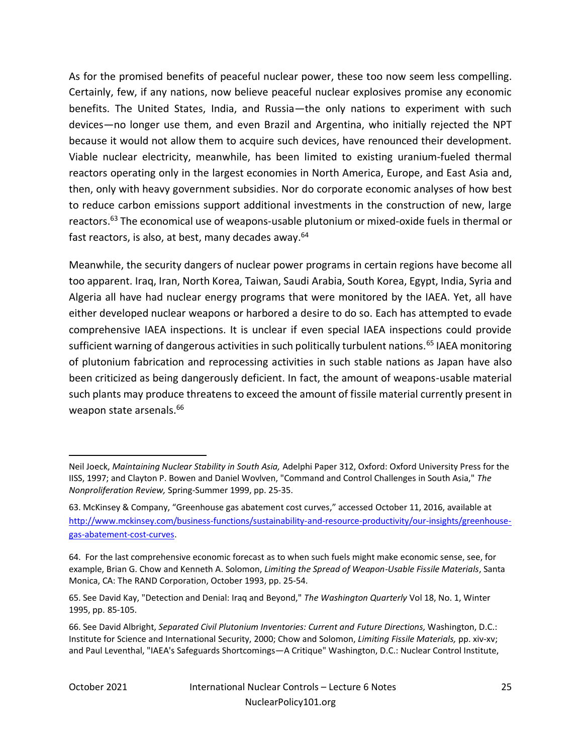As for the promised benefits of peaceful nuclear power, these too now seem less compelling. Certainly, few, if any nations, now believe peaceful nuclear explosives promise any economic benefits. The United States, India, and Russia—the only nations to experiment with such devices—no longer use them, and even Brazil and Argentina, who initially rejected the NPT because it would not allow them to acquire such devices, have renounced their development. Viable nuclear electricity, meanwhile, has been limited to existing uranium-fueled thermal reactors operating only in the largest economies in North America, Europe, and East Asia and, then, only with heavy government subsidies. Nor do corporate economic analyses of how best to reduce carbon emissions support additional investments in the construction of new, large reactors. <sup>63</sup> The economical use of weapons-usable plutonium or mixed-oxide fuels in thermal or fast reactors, is also, at best, many decades away.<sup>64</sup>

Meanwhile, the security dangers of nuclear power programs in certain regions have become all too apparent. Iraq, Iran, North Korea, Taiwan, Saudi Arabia, South Korea, Egypt, India, Syria and Algeria all have had nuclear energy programs that were monitored by the IAEA. Yet, all have either developed nuclear weapons or harbored a desire to do so. Each has attempted to evade comprehensive IAEA inspections. It is unclear if even special IAEA inspections could provide sufficient warning of dangerous activities in such politically turbulent nations.<sup>65</sup> IAEA monitoring of plutonium fabrication and reprocessing activities in such stable nations as Japan have also been criticized as being dangerously deficient. In fact, the amount of weapons-usable material such plants may produce threatens to exceed the amount of fissile material currently present in weapon state arsenals.<sup>66</sup>

Neil Joeck, *Maintaining Nuclear Stability in South Asia,* Adelphi Paper 312, Oxford: Oxford University Press for the IISS, 1997; and Clayton P. Bowen and Daniel Wovlven, "Command and Control Challenges in South Asia," *The Nonproliferation Review,* Spring-Summer 1999, pp. 25-35.

<sup>63.</sup> McKinsey & Company, "Greenhouse gas abatement cost curves," accessed October 11, 2016, available at [http://www.mckinsey.com/business-functions/sustainability-and-resource-productivity/our-insights/greenhouse](http://www.mckinsey.com/business-functions/sustainability-and-resource-productivity/our-insights/greenhouse-gas-abatement-cost-curves)[gas-abatement-cost-curves.](http://www.mckinsey.com/business-functions/sustainability-and-resource-productivity/our-insights/greenhouse-gas-abatement-cost-curves)

<sup>64.</sup> For the last comprehensive economic forecast as to when such fuels might make economic sense, see, for example, Brian G. Chow and Kenneth A. Solomon, *Limiting the Spread of Weapon-Usable Fissile Materials*, Santa Monica, CA: The RAND Corporation, October 1993, pp. 25-54.

<sup>65.</sup> See David Kay, "Detection and Denial: Iraq and Beyond," *The Washington Quarterly* Vol 18, No. 1, Winter 1995, pp. 85-105.

<sup>66.</sup> See David Albright, *Separated Civil Plutonium Inventories: Current and Future Directions,* Washington, D.C.: Institute for Science and International Security, 2000; Chow and Solomon, *Limiting Fissile Materials,* pp. xiv-xv; and Paul Leventhal, "IAEA's Safeguards Shortcomings—A Critique" Washington, D.C.: Nuclear Control Institute,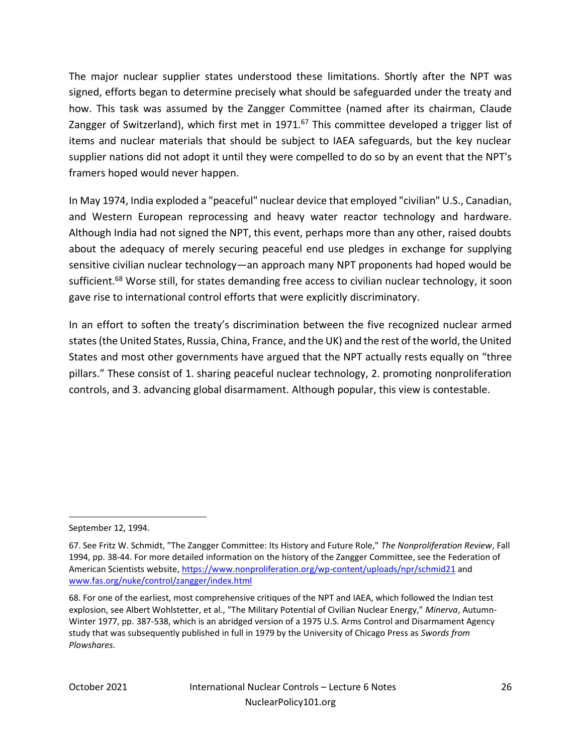The major nuclear supplier states understood these limitations. Shortly after the NPT was signed, efforts began to determine precisely what should be safeguarded under the treaty and how. This task was assumed by the Zangger Committee (named after its chairman, Claude Zangger of Switzerland), which first met in 1971.<sup>67</sup> This committee developed a trigger list of items and nuclear materials that should be subject to IAEA safeguards, but the key nuclear supplier nations did not adopt it until they were compelled to do so by an event that the NPT's framers hoped would never happen.

In May 1974, India exploded a "peaceful" nuclear device that employed "civilian" U.S., Canadian, and Western European reprocessing and heavy water reactor technology and hardware. Although India had not signed the NPT, this event, perhaps more than any other, raised doubts about the adequacy of merely securing peaceful end use pledges in exchange for supplying sensitive civilian nuclear technology—an approach many NPT proponents had hoped would be sufficient.<sup>68</sup> Worse still, for states demanding free access to civilian nuclear technology, it soon gave rise to international control efforts that were explicitly discriminatory.

In an effort to soften the treaty's discrimination between the five recognized nuclear armed states (the United States, Russia, China, France, and the UK) and the rest of the world, the United States and most other governments have argued that the NPT actually rests equally on "three pillars." These consist of 1. sharing peaceful nuclear technology, 2. promoting nonproliferation controls, and 3. advancing global disarmament. Although popular, this view is contestable.

September 12, 1994.

<sup>67.</sup> See Fritz W. Schmidt, "The Zangger Committee: Its History and Future Role," *The Nonproliferation Review*, Fall 1994, pp. 38-44. For more detailed information on the history of the Zangger Committee, see the Federation of American Scientists website,<https://www.nonproliferation.org/wp-content/uploads/npr/schmid21> and [www.fas.org/nuke/control/zangger/index.html](file:///C:/Users/Kate%20Harrison/Dropbox%20(NPEC)/NPEC%20Share/NPEC/Course%20-%20Nuclear%20Policy%20101/Lectures,%20Slides,%20Quiz/6-%20NPT/www.fas.org/nuke/control/zangger/index.html)

<sup>68.</sup> For one of the earliest, most comprehensive critiques of the NPT and IAEA, which followed the Indian test explosion, see Albert Wohlstetter, et al., "The Military Potential of Civilian Nuclear Energy," *Minerva*, Autumn-Winter 1977, pp. 387-538, which is an abridged version of a 1975 U.S. Arms Control and Disarmament Agency study that was subsequently published in full in 1979 by the University of Chicago Press as *Swords from Plowshares.*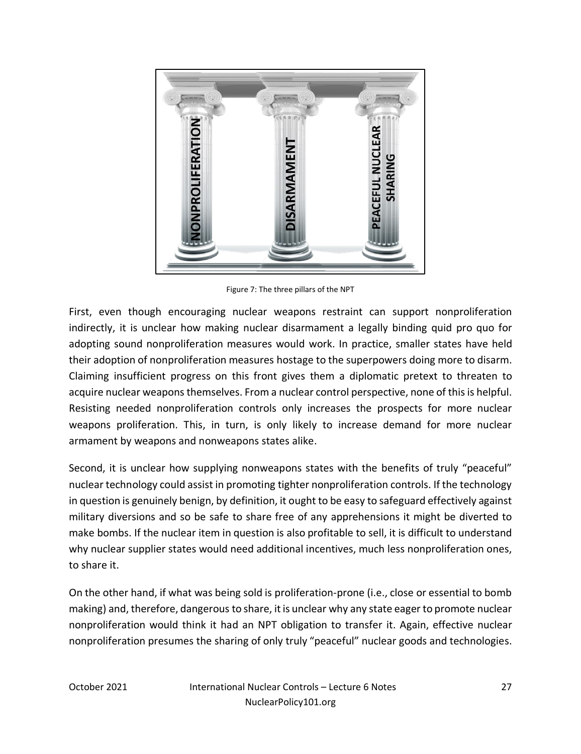

Figure 7: The three pillars of the NPT

First, even though encouraging nuclear weapons restraint can support nonproliferation indirectly, it is unclear how making nuclear disarmament a legally binding quid pro quo for adopting sound nonproliferation measures would work. In practice, smaller states have held their adoption of nonproliferation measures hostage to the superpowers doing more to disarm. Claiming insufficient progress on this front gives them a diplomatic pretext to threaten to acquire nuclear weapons themselves. From a nuclear control perspective, none of this is helpful. Resisting needed nonproliferation controls only increases the prospects for more nuclear weapons proliferation. This, in turn, is only likely to increase demand for more nuclear armament by weapons and nonweapons states alike.

Second, it is unclear how supplying nonweapons states with the benefits of truly "peaceful" nuclear technology could assist in promoting tighter nonproliferation controls. If the technology in question is genuinely benign, by definition, it ought to be easy to safeguard effectively against military diversions and so be safe to share free of any apprehensions it might be diverted to make bombs. If the nuclear item in question is also profitable to sell, it is difficult to understand why nuclear supplier states would need additional incentives, much less nonproliferation ones, to share it.

On the other hand, if what was being sold is proliferation-prone (i.e., close or essential to bomb making) and, therefore, dangerous to share, it is unclear why any state eager to promote nuclear nonproliferation would think it had an NPT obligation to transfer it. Again, effective nuclear nonproliferation presumes the sharing of only truly "peaceful" nuclear goods and technologies.